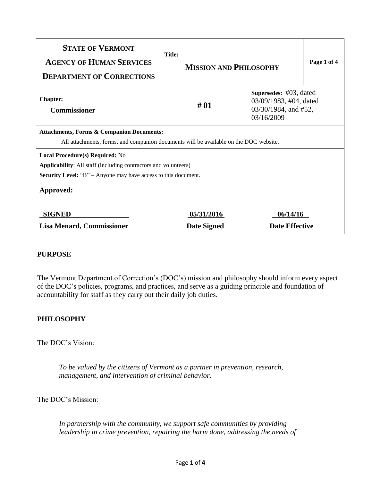| <b>STATE OF VERMONT</b><br><b>AGENCY OF HUMAN SERVICES</b><br><b>DEPARTMENT OF CORRECTIONS</b>                                                                                     | <b>Title:</b><br><b>MISSION AND PHILOSOPHY</b> |                                                                                            | Page 1 of 4 |
|------------------------------------------------------------------------------------------------------------------------------------------------------------------------------------|------------------------------------------------|--------------------------------------------------------------------------------------------|-------------|
| <b>Chapter:</b><br><b>Commissioner</b>                                                                                                                                             | #01                                            | Supersedes: $\#03$ , dated<br>03/09/1983, #04, dated<br>03/30/1984, and #52,<br>03/16/2009 |             |
| <b>Attachments, Forms &amp; Companion Documents:</b><br>All attachments, forms, and companion documents will be available on the DOC website.                                      |                                                |                                                                                            |             |
| Local Procedure(s) Required: No<br><b>Applicability:</b> All staff (including contractors and volunteers)<br><b>Security Level:</b> "B" – Anyone may have access to this document. |                                                |                                                                                            |             |
| Approved:                                                                                                                                                                          |                                                |                                                                                            |             |
| <b>SIGNED</b>                                                                                                                                                                      | 05/31/2016                                     | 06/14/16<br><b>Date Effective</b>                                                          |             |
| <b>Lisa Menard, Commissioner</b>                                                                                                                                                   | <b>Date Signed</b>                             |                                                                                            |             |

## **PURPOSE**

The Vermont Department of Correction's (DOC's) mission and philosophy should inform every aspect of the DOC's policies, programs, and practices, and serve as a guiding principle and foundation of accountability for staff as they carry out their daily job duties.

## **PHILOSOPHY**

The DOC's Vision:

*To be valued by the citizens of Vermont as a partner in prevention, research, management, and intervention of criminal behavior.*

The DOC's Mission:

*In partnership with the community, we support safe communities by providing leadership in crime prevention, repairing the harm done, addressing the needs of*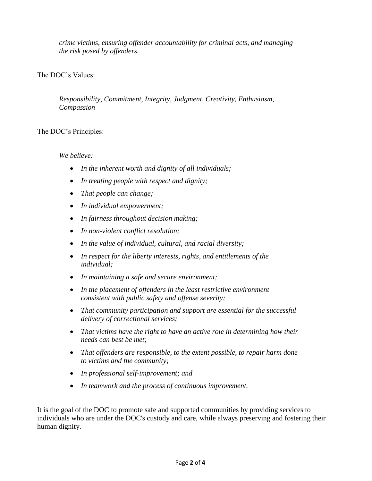*crime victims, ensuring offender accountability for criminal acts, and managing the risk posed by offenders.*

# The DOC's Values:

*Responsibility, Commitment, Integrity, Judgment, Creativity, Enthusiasm, Compassion*

## The DOC's Principles:

## *We believe:*

- *In the inherent worth and dignity of all individuals;*
- *In treating people with respect and dignity;*
- *That people can change;*
- *In individual empowerment;*
- *In fairness throughout decision making;*
- *In non-violent conflict resolution;*
- *In the value of individual, cultural, and racial diversity;*
- *In respect for the liberty interests, rights, and entitlements of the individual;*
- *In maintaining a safe and secure environment;*
- *In the placement of offenders in the least restrictive environment consistent with public safety and offense severity;*
- *That community participation and support are essential for the successful delivery of correctional services;*
- *That victims have the right to have an active role in determining how their needs can best be met;*
- *That offenders are responsible, to the extent possible, to repair harm done to victims and the community;*
- *In professional self-improvement; and*
- *In teamwork and the process of continuous improvement.*

It is the goal of the DOC to promote safe and supported communities by providing services to individuals who are under the DOC's custody and care, while always preserving and fostering their human dignity.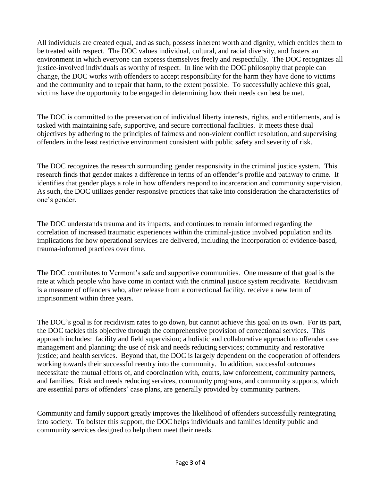All individuals are created equal, and as such, possess inherent worth and dignity, which entitles them to be treated with respect. The DOC values individual, cultural, and racial diversity, and fosters an environment in which everyone can express themselves freely and respectfully. The DOC recognizes all justice-involved individuals as worthy of respect. In line with the DOC philosophy that people can change, the DOC works with offenders to accept responsibility for the harm they have done to victims and the community and to repair that harm, to the extent possible. To successfully achieve this goal, victims have the opportunity to be engaged in determining how their needs can best be met.

The DOC is committed to the preservation of individual liberty interests, rights, and entitlements, and is tasked with maintaining safe, supportive, and secure correctional facilities. It meets these dual objectives by adhering to the principles of fairness and non-violent conflict resolution, and supervising offenders in the least restrictive environment consistent with public safety and severity of risk.

The DOC recognizes the research surrounding gender responsivity in the criminal justice system. This research finds that gender makes a difference in terms of an offender's profile and pathway to crime. It identifies that gender plays a role in how offenders respond to incarceration and community supervision. As such, the DOC utilizes gender responsive practices that take into consideration the characteristics of one's gender.

The DOC understands trauma and its impacts, and continues to remain informed regarding the correlation of increased traumatic experiences within the criminal-justice involved population and its implications for how operational services are delivered, including the incorporation of evidence-based, trauma-informed practices over time.

The DOC contributes to Vermont's safe and supportive communities. One measure of that goal is the rate at which people who have come in contact with the criminal justice system recidivate. Recidivism is a measure of offenders who, after release from a correctional facility, receive a new term of imprisonment within three years.

The DOC's goal is for recidivism rates to go down, but cannot achieve this goal on its own. For its part, the DOC tackles this objective through the comprehensive provision of correctional services. This approach includes: facility and field supervision; a holistic and collaborative approach to offender case management and planning; the use of risk and needs reducing services; community and restorative justice; and health services. Beyond that, the DOC is largely dependent on the cooperation of offenders working towards their successful reentry into the community. In addition, successful outcomes necessitate the mutual efforts of, and coordination with, courts, law enforcement, community partners, and families. Risk and needs reducing services, community programs, and community supports, which are essential parts of offenders' case plans, are generally provided by community partners.

Community and family support greatly improves the likelihood of offenders successfully reintegrating into society. To bolster this support, the DOC helps individuals and families identify public and community services designed to help them meet their needs.